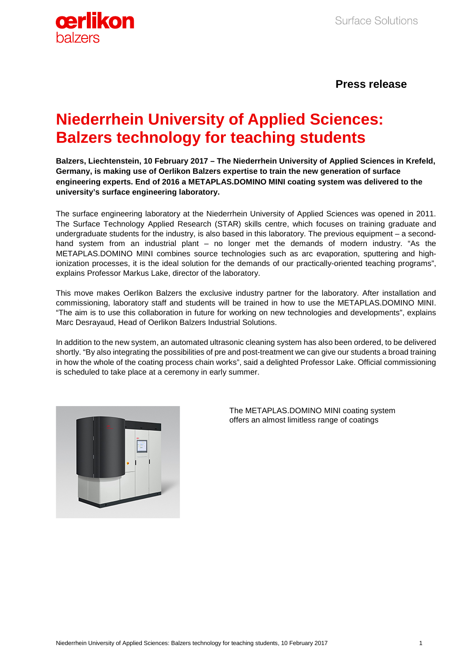

# **Press release**

# **Niederrhein University of Applied Sciences: Balzers technology for teaching students**

**Balzers, Liechtenstein, 10 February 2017 – The Niederrhein University of Applied Sciences in Krefeld, Germany, is making use of Oerlikon Balzers expertise to train the new generation of surface engineering experts. End of 2016 a METAPLAS.DOMINO MINI coating system was delivered to the university's surface engineering laboratory.** 

The surface engineering laboratory at the Niederrhein University of Applied Sciences was opened in 2011. The Surface Technology Applied Research (STAR) skills centre, which focuses on training graduate and undergraduate students for the industry, is also based in this laboratory. The previous equipment – a secondhand system from an industrial plant – no longer met the demands of modern industry. "As the METAPLAS.DOMINO MINI combines source technologies such as arc evaporation, sputtering and highionization processes, it is the ideal solution for the demands of our practically-oriented teaching programs", explains Professor Markus Lake, director of the laboratory.

This move makes Oerlikon Balzers the exclusive industry partner for the laboratory. After installation and commissioning, laboratory staff and students will be trained in how to use the METAPLAS.DOMINO MINI. "The aim is to use this collaboration in future for working on new technologies and developments", explains Marc Desrayaud, Head of Oerlikon Balzers Industrial Solutions.

In addition to the new system, an automated ultrasonic cleaning system has also been ordered, to be delivered shortly. "By also integrating the possibilities of pre and post-treatment we can give our students a broad training in how the whole of the coating process chain works", said a delighted Professor Lake. Official commissioning is scheduled to take place at a ceremony in early summer.



The METAPLAS.DOMINO MINI coating system offers an almost limitless range of coatings